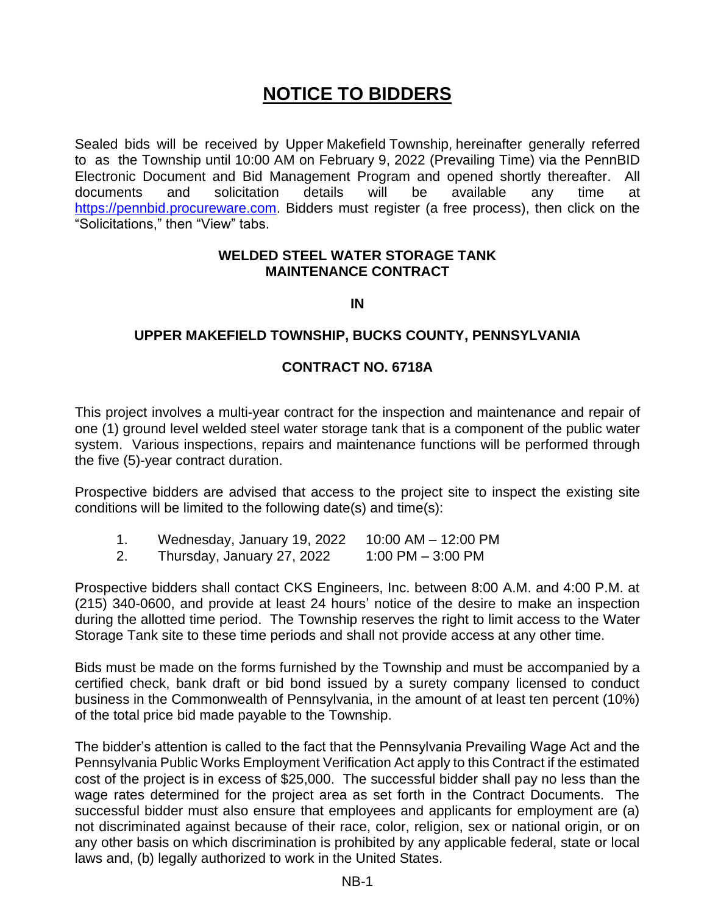## **NOTICE TO BIDDERS**

Sealed bids will be received by Upper Makefield Township, hereinafter generally referred to as the Township until 10:00 AM on February 9, 2022 (Prevailing Time) via the PennBID Electronic Document and Bid Management Program and opened shortly thereafter. All documents and solicitation details will be available any time at [https://pennbid.procureware.com.](https://pennbid.procureware.com/) Bidders must register (a free process), then click on the "Solicitations," then "View" tabs.

## **WELDED STEEL WATER STORAGE TANK MAINTENANCE CONTRACT**

**IN**

## **UPPER MAKEFIELD TOWNSHIP, BUCKS COUNTY, PENNSYLVANIA**

## **CONTRACT NO. 6718A**

This project involves a multi-year contract for the inspection and maintenance and repair of one (1) ground level welded steel water storage tank that is a component of the public water system. Various inspections, repairs and maintenance functions will be performed through the five (5)-year contract duration.

Prospective bidders are advised that access to the project site to inspect the existing site conditions will be limited to the following date(s) and time(s):

- 1. Wednesday, January 19, 2022 10:00 AM 12:00 PM
- 2. Thursday, January 27, 2022 1:00 PM 3:00 PM

Prospective bidders shall contact CKS Engineers, Inc. between 8:00 A.M. and 4:00 P.M. at (215) 340-0600, and provide at least 24 hours' notice of the desire to make an inspection during the allotted time period. The Township reserves the right to limit access to the Water Storage Tank site to these time periods and shall not provide access at any other time.

Bids must be made on the forms furnished by the Township and must be accompanied by a certified check, bank draft or bid bond issued by a surety company licensed to conduct business in the Commonwealth of Pennsylvania, in the amount of at least ten percent (10%) of the total price bid made payable to the Township.

The bidder's attention is called to the fact that the Pennsylvania Prevailing Wage Act and the Pennsylvania Public Works Employment Verification Act apply to this Contract if the estimated cost of the project is in excess of \$25,000. The successful bidder shall pay no less than the wage rates determined for the project area as set forth in the Contract Documents. The successful bidder must also ensure that employees and applicants for employment are (a) not discriminated against because of their race, color, religion, sex or national origin, or on any other basis on which discrimination is prohibited by any applicable federal, state or local laws and, (b) legally authorized to work in the United States.